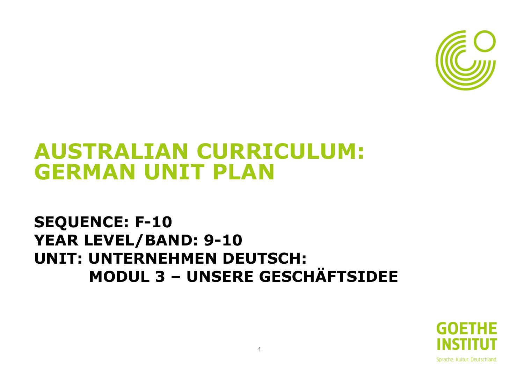

# **AUSTRALIAN CURRICULUM: GERMAN UNIT PLAN**

## **SEQUENCE: F-10 YEAR LEVEL/BAND: 9-10 UNIT: UNTERNEHMEN DEUTSCH: MODUL 3 – UNSERE GESCHÄFTSIDEE**

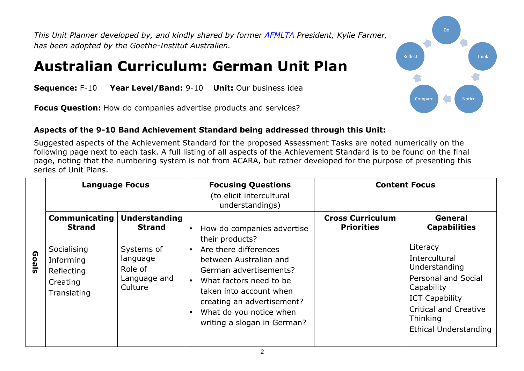*This Unit Planner developed by, and kindly shared by former AFMLTA President, Kylie Farmer, has been adopted by the Goethe-Institut Australien.*

### **Australian Curriculum: German Unit Plan**

**Sequence:** F-10 **Year Level/Band:** 9-10 **Unit:** Our business idea

**Focus Question:** How do companies advertise products and services?

#### **Aspects of the 9-10 Band Achievement Standard being addressed through this Unit:**

Suggested aspects of the Achievement Standard for the proposed Assessment Tasks are noted numerically on the following page next to each task. A full listing of all aspects of the Achievement Standard is to be found on the final page, noting that the numbering system is not from ACARA, but rather developed for the purpose of presenting this series of Unit Plans.

|       | <b>Language Focus</b>                                                                                      |                                                                                                       | <b>Focusing Questions</b><br>(to elicit intercultural<br>understandings)                                                                                                                                                                                                                                        | <b>Content Focus</b>                         |                                                                                                                                                                                                                        |
|-------|------------------------------------------------------------------------------------------------------------|-------------------------------------------------------------------------------------------------------|-----------------------------------------------------------------------------------------------------------------------------------------------------------------------------------------------------------------------------------------------------------------------------------------------------------------|----------------------------------------------|------------------------------------------------------------------------------------------------------------------------------------------------------------------------------------------------------------------------|
| Goals | <b>Communicating</b><br><b>Strand</b><br>Socialising<br>Informing<br>Reflecting<br>Creating<br>Translating | <b>Understanding</b><br><b>Strand</b><br>Systems of<br>language<br>Role of<br>Language and<br>Culture | How do companies advertise<br>$\bullet$<br>their products?<br>Are there differences<br>$\bullet$<br>between Australian and<br>German advertisements?<br>What factors need to be<br>taken into account when<br>creating an advertisement?<br>What do you notice when<br>$\bullet$<br>writing a slogan in German? | <b>Cross Curriculum</b><br><b>Priorities</b> | General<br><b>Capabilities</b><br>Literacy<br>Intercultural<br>Understanding<br><b>Personal and Social</b><br>Capability<br><b>ICT Capability</b><br><b>Critical and Creative</b><br>Thinking<br>Ethical Understanding |